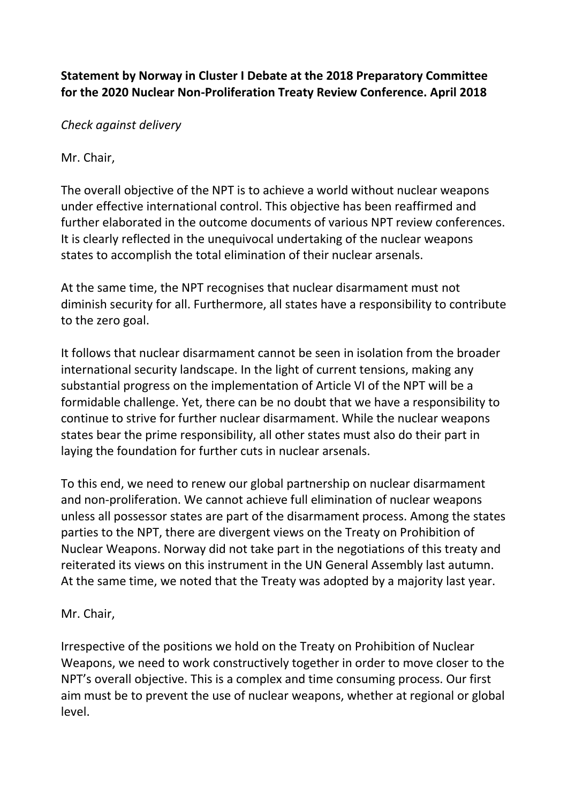## **Statement by Norway in Cluster I Debate at the 2018 Preparatory Committee for the 2020 Nuclear Non-Proliferation Treaty Review Conference. April 2018**

*Check against delivery*

Mr. Chair,

The overall objective of the NPT is to achieve a world without nuclear weapons under effective international control. This objective has been reaffirmed and further elaborated in the outcome documents of various NPT review conferences. It is clearly reflected in the unequivocal undertaking of the nuclear weapons states to accomplish the total elimination of their nuclear arsenals.

At the same time, the NPT recognises that nuclear disarmament must not diminish security for all. Furthermore, all states have a responsibility to contribute to the zero goal.

It follows that nuclear disarmament cannot be seen in isolation from the broader international security landscape. In the light of current tensions, making any substantial progress on the implementation of Article VI of the NPT will be a formidable challenge. Yet, there can be no doubt that we have a responsibility to continue to strive for further nuclear disarmament. While the nuclear weapons states bear the prime responsibility, all other states must also do their part in laying the foundation for further cuts in nuclear arsenals.

To this end, we need to renew our global partnership on nuclear disarmament and non-proliferation. We cannot achieve full elimination of nuclear weapons unless all possessor states are part of the disarmament process. Among the states parties to the NPT, there are divergent views on the Treaty on Prohibition of Nuclear Weapons. Norway did not take part in the negotiations of this treaty and reiterated its views on this instrument in the UN General Assembly last autumn. At the same time, we noted that the Treaty was adopted by a majority last year.

Mr. Chair,

Irrespective of the positions we hold on the Treaty on Prohibition of Nuclear Weapons, we need to work constructively together in order to move closer to the NPT's overall objective. This is a complex and time consuming process. Our first aim must be to prevent the use of nuclear weapons, whether at regional or global level.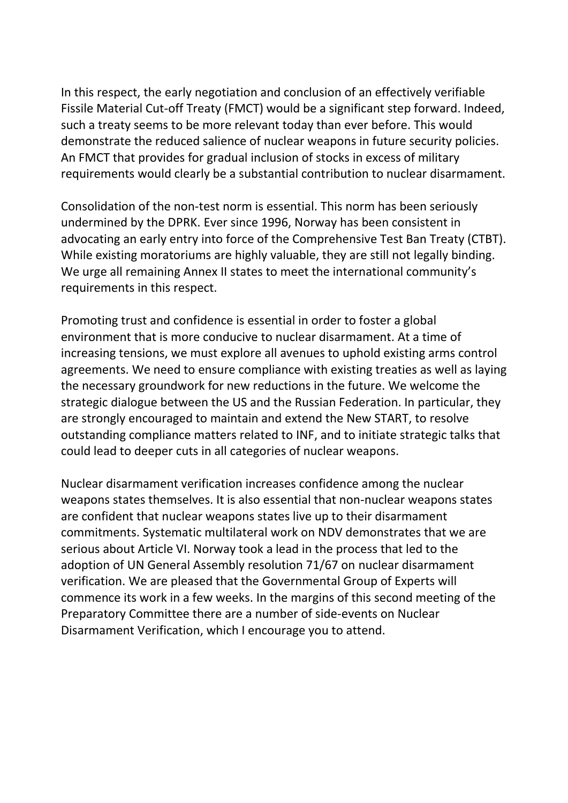In this respect, the early negotiation and conclusion of an effectively verifiable Fissile Material Cut-off Treaty (FMCT) would be a significant step forward. Indeed, such a treaty seems to be more relevant today than ever before. This would demonstrate the reduced salience of nuclear weapons in future security policies. An FMCT that provides for gradual inclusion of stocks in excess of military requirements would clearly be a substantial contribution to nuclear disarmament.

Consolidation of the non-test norm is essential. This norm has been seriously undermined by the DPRK. Ever since 1996, Norway has been consistent in advocating an early entry into force of the Comprehensive Test Ban Treaty (CTBT). While existing moratoriums are highly valuable, they are still not legally binding. We urge all remaining Annex II states to meet the international community's requirements in this respect.

Promoting trust and confidence is essential in order to foster a global environment that is more conducive to nuclear disarmament. At a time of increasing tensions, we must explore all avenues to uphold existing arms control agreements. We need to ensure compliance with existing treaties as well as laying the necessary groundwork for new reductions in the future. We welcome the strategic dialogue between the US and the Russian Federation. In particular, they are strongly encouraged to maintain and extend the New START, to resolve outstanding compliance matters related to INF, and to initiate strategic talks that could lead to deeper cuts in all categories of nuclear weapons.

Nuclear disarmament verification increases confidence among the nuclear weapons states themselves. It is also essential that non-nuclear weapons states are confident that nuclear weapons states live up to their disarmament commitments. Systematic multilateral work on NDV demonstrates that we are serious about Article VI. Norway took a lead in the process that led to the adoption of UN General Assembly resolution 71/67 on nuclear disarmament verification. We are pleased that the Governmental Group of Experts will commence its work in a few weeks. In the margins of this second meeting of the Preparatory Committee there are a number of side-events on Nuclear Disarmament Verification, which I encourage you to attend.